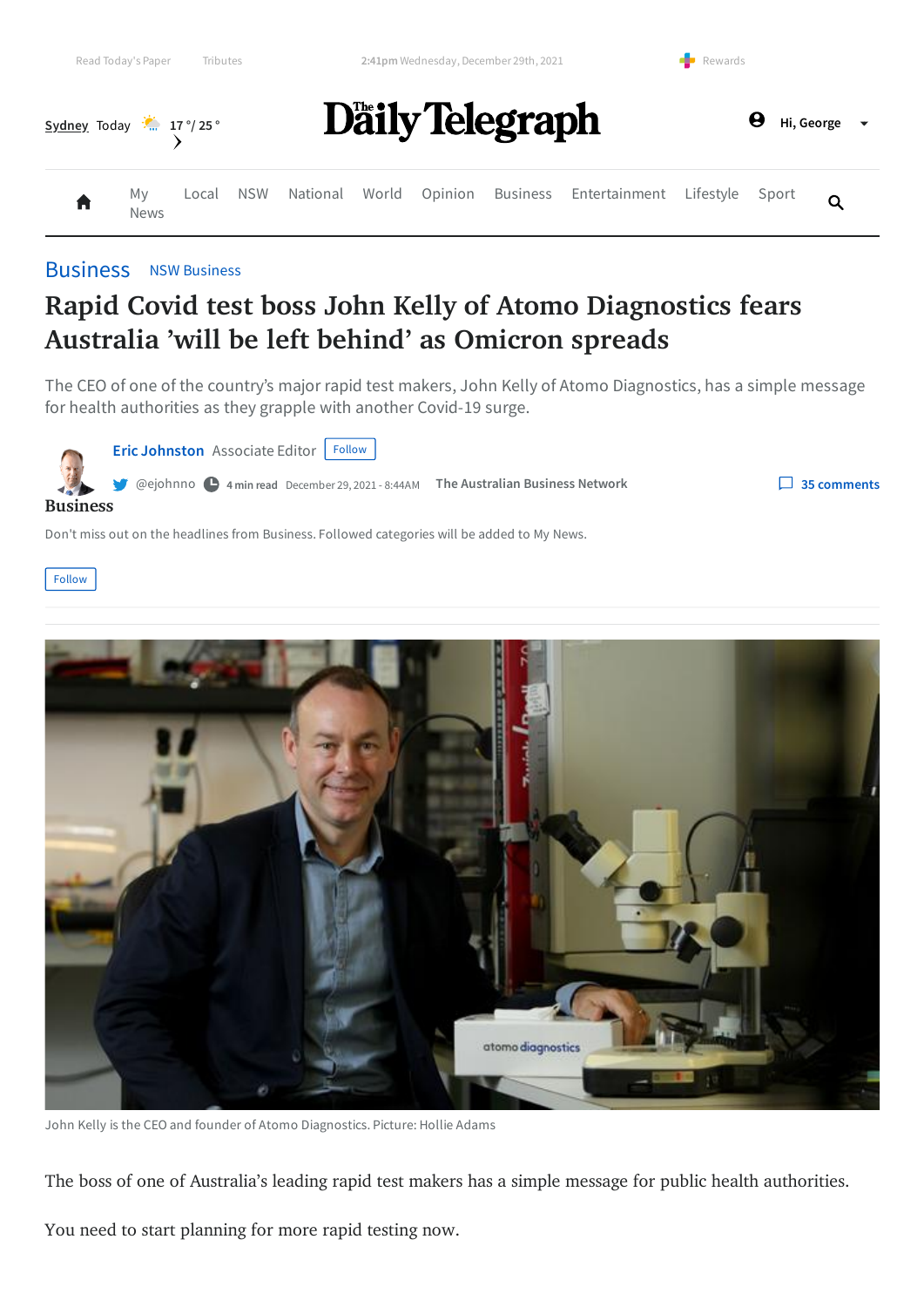



#### [Business](https://www.dailytelegraph.com.au/business) NSW [Business](https://www.dailytelegraph.com.au/business/nsw-business)

# **Rapid Covid test boss John Kelly of Atomo Diagnostics fears Australia 'will be left behind' as Omicron spreads**

The CEO of one of the country's major rapid test makers, John Kelly of Atomo Diagnostics, has a simple message for health authorities as they grapple with another Covid-19 surge.

**Eric [Johnston](https://www.theaustralian.com.au/authors/eric-johnston)** Associate Editor **Follow** [@ejohnno](https://twitter.com/ejohnno) **4 min read** December 29, 2021 - 8:44AM **The Australian Business Network 35 [comments](#page-4-0) [Business](https://www.dailytelegraph.com.au/business/nsw-business)**

Don't miss out on the headlines from Business. Followed categories will be added to My News.

Follow



John Kelly is the CEO and founder of Atomo Diagnostics. Picture: Hollie Adams

The boss of one of Australia's leading rapid test makers has a simple message for public health authorities.

You need to start planning for more rapid testing now.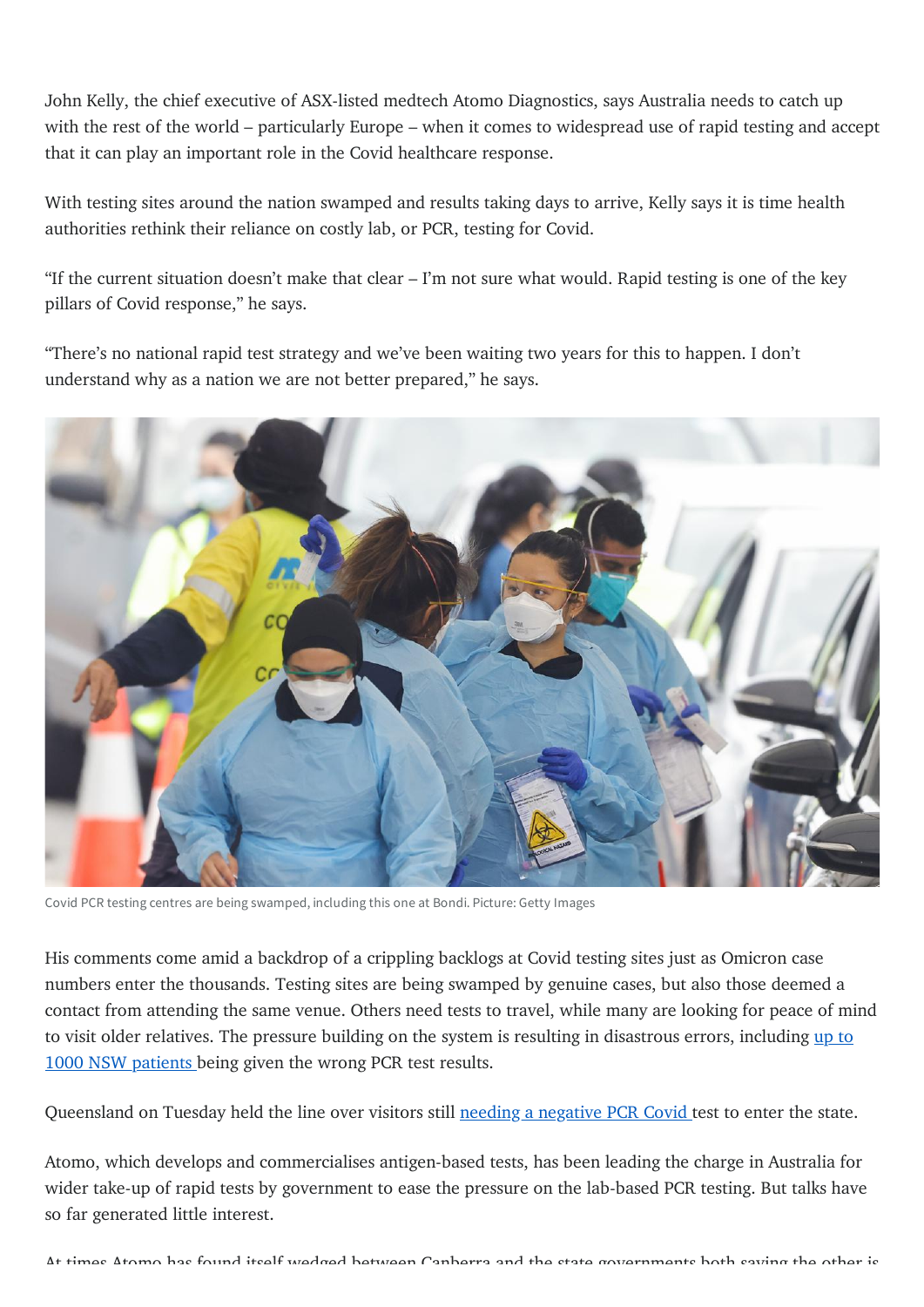John Kelly, the chief executive of ASX-listed medtech Atomo Diagnostics, says Australia needs to catch up with the rest of the world – particularly Europe – when it comes to widespread use of rapid testing and accept that it can play an important role in the Covid healthcare response.

With testing sites around the nation swamped and results taking days to arrive, Kelly says it is time health authorities rethink their reliance on costly lab, or PCR, testing for Covid.

"If the current situation doesn't make that clear – I'm not sure what would. Rapid testing is one of the key pillars of Covid response," he says.

"There's no national rapid test strategy and we've been waiting two years for this to happen. I don't understand why as a nation we are not better prepared," he says.



Covid PCR testing centres are being swamped, including this one at Bondi. Picture: Getty Images

His comments come amid a backdrop of a crippling backlogs at Covid testing sites just as Omicron case numbers enter the thousands. Testing sites are being swamped by genuine cases, but also those deemed a contact from attending the same venue. Others need tests to travel, while many are looking for peace of mind to visit older relatives. The pressure building on the system is resulting in [disastrous](https://www.theaustralian.com.au/nation/coronavirus-australia-live-news-warring-states-fail-covid-test-at-border/live-coverage/8f9fcd0d0030e334d643200969d7d1d9) errors, including up to 1000 NSW patients being given the wrong PCR test results.

Queensland on Tuesday held the line over visitors still needing a [negative](https://www.theaustralian.com.au/nation/qld-covid-big-change-to-virus-rules-as-cases-surge-to-new-record/news-story/ac3d0d5309bd26f9dc66e86e1197f263) PCR Covid test to enter the state.

Atomo, which develops and commercialises antigen-based tests, has been leading the charge in Australia for wider take-up of rapid tests by government to ease the pressure on the lab-based PCR testing. But talks have so far generated little interest.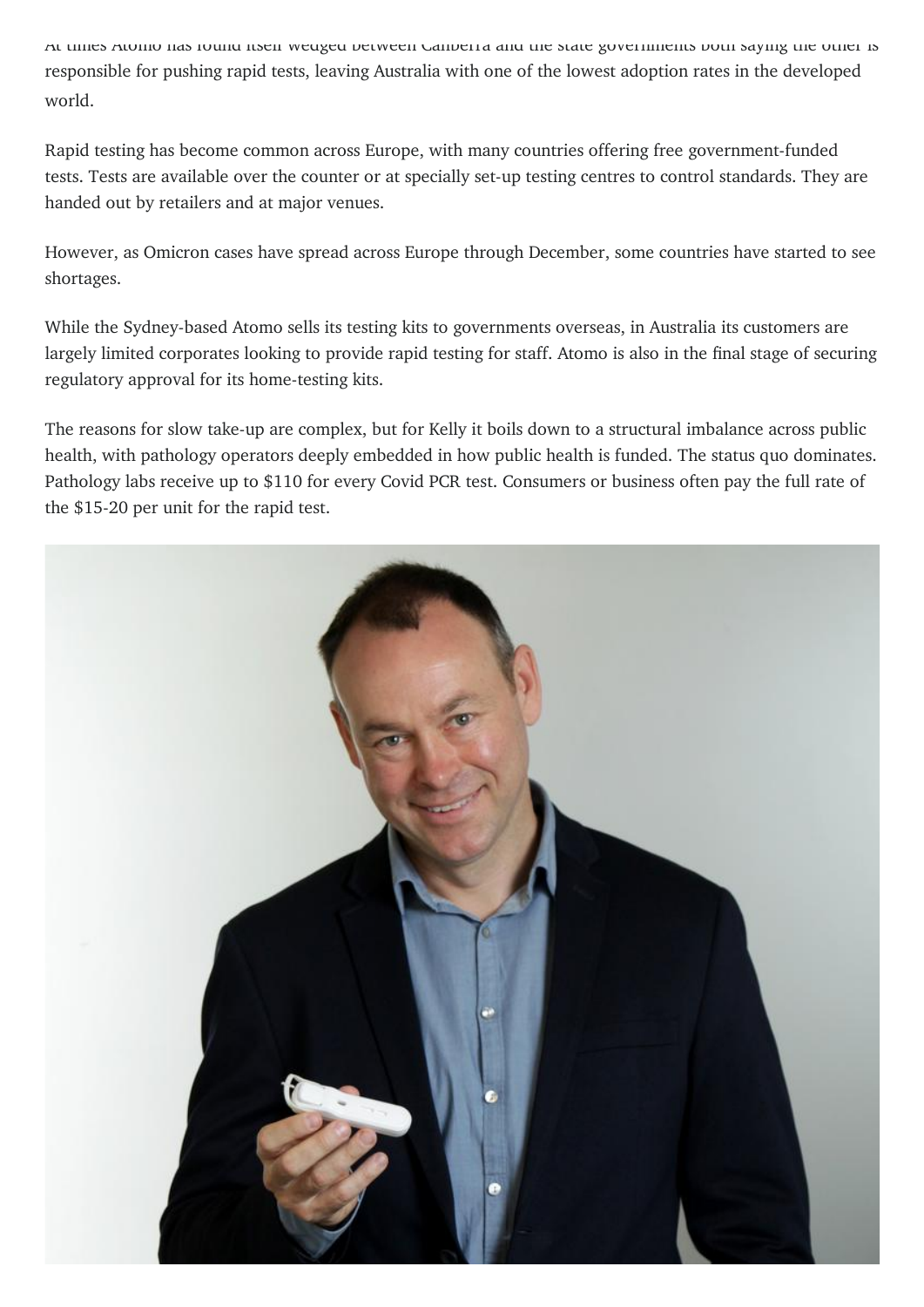At times Atomo has found itself wedged between Canberra and the state governments both saying the other is responsible for pushing rapid tests, leaving Australia with one of the lowest adoption rates in the developed world.

Rapid testing has become common across Europe, with many countries offering free government-funded tests. Tests are available over the counter or at specially set-up testing centres to control standards. They are handed out by retailers and at major venues.

However, as Omicron cases have spread across Europe through December, some countries have started to see shortages.

While the Sydney-based Atomo sells its testing kits to governments overseas, in Australia its customers are largely limited corporates looking to provide rapid testing for staff. Atomo is also in the final stage of securing regulatory approval for its home-testing kits.

The reasons for slow take-up are complex, but for Kelly it boils down to a structural imbalance across public health, with pathology operators deeply embedded in how public health is funded. The status quo dominates. Pathology labs receive up to \$110 for every Covid PCR test. Consumers or business often pay the full rate of the \$15-20 per unit for the rapid test.

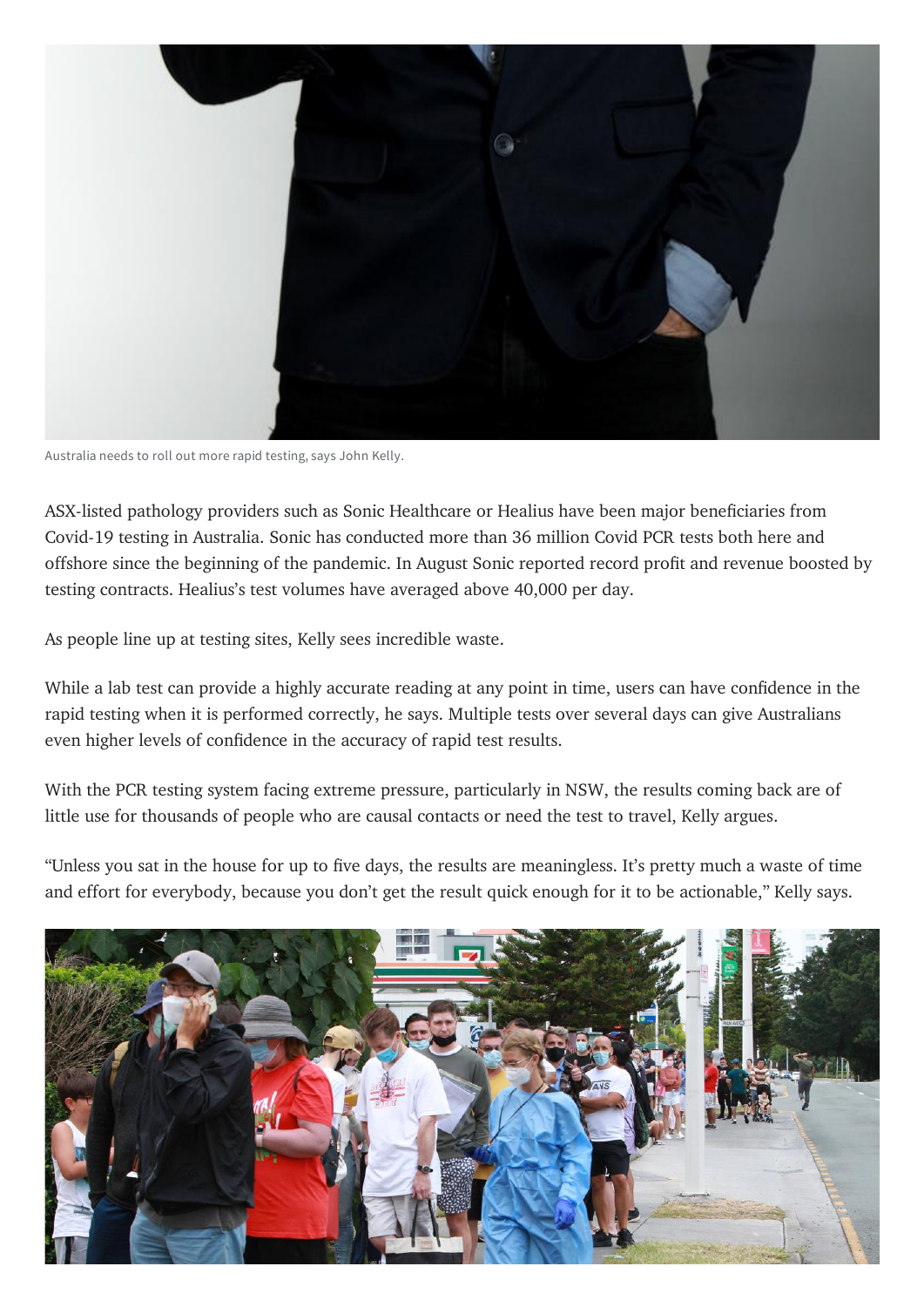

Australia needs to roll out more rapid testing, says John Kelly.

ASX-listed pathology providers such as Sonic Healthcare or Healius have been major beneficiaries from Covid-19 testing in Australia. Sonic has conducted more than 36 million Covid PCR tests both here and offshore since the beginning of the pandemic. In August Sonic reported record profit and revenue boosted by testing contracts. Healius's test volumes have averaged above 40,000 per day.

As people line up at testing sites, Kelly sees incredible waste.

While a lab test can provide a highly accurate reading at any point in time, users can have confidence in the rapid testing when it is performed correctly, he says. Multiple tests over several days can give Australians even higher levels of confidence in the accuracy of rapid test results.

With the PCR testing system facing extreme pressure, particularly in NSW, the results coming back are of little use for thousands of people who are causal contacts or need the test to travel, Kelly argues.

"Unless you sat in the house for up to five days, the results are meaningless. It's pretty much a waste of time and effort for everybody, because you don't get the result quick enough for it to be actionable," Kelly says.

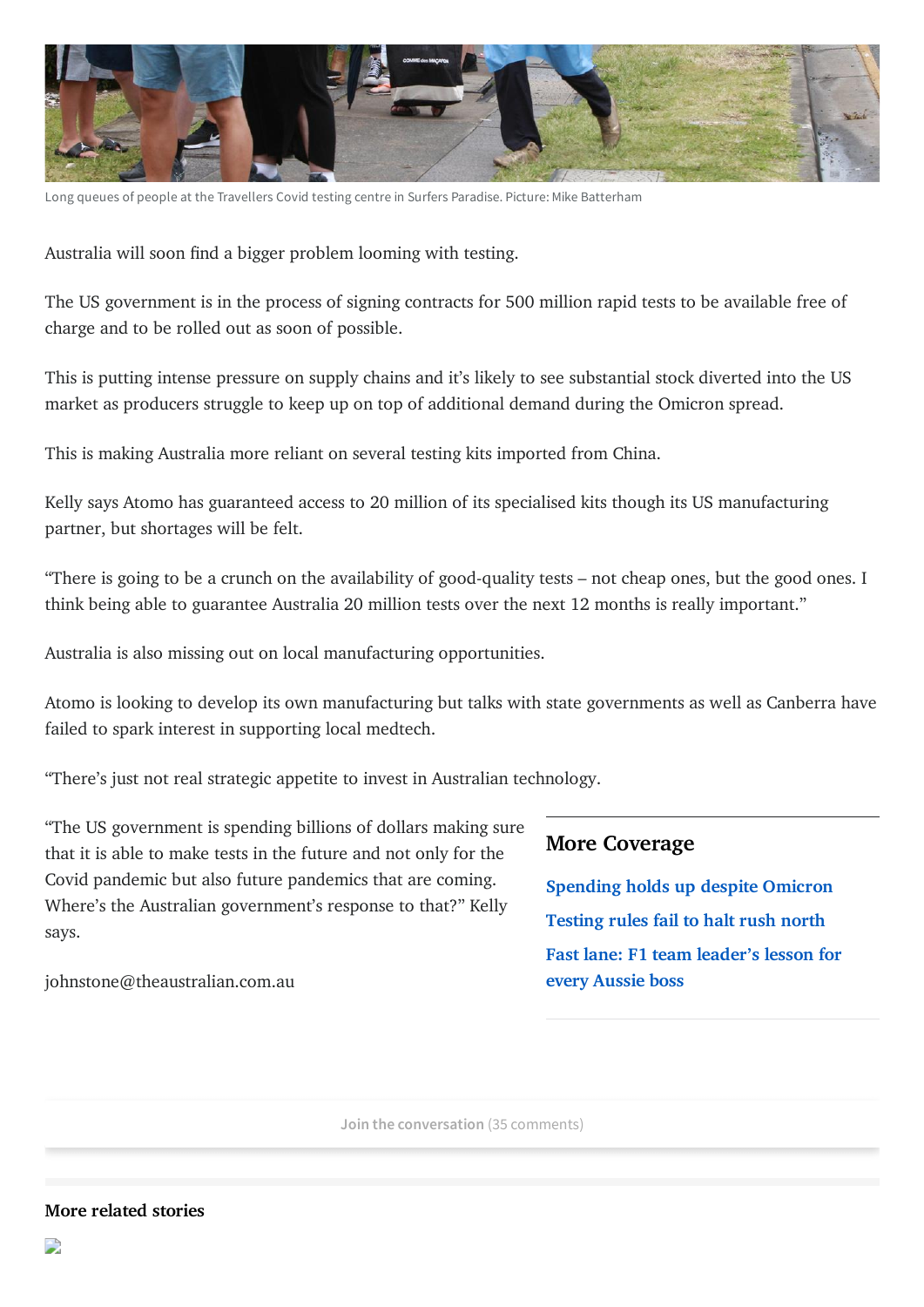

Long queues of people at the Travellers Covid testing centre in Surfers Paradise. Picture: Mike Batterham

Australia will soon find a bigger problem looming with testing.

The US government is in the process of signing contracts for 500 million rapid tests to be available free of charge and to be rolled out as soon of possible.

This is putting intense pressure on supply chains and it's likely to see substantial stock diverted into the US market as producers struggle to keep up on top of additional demand during the Omicron spread.

This is making Australia more reliant on several testing kits imported from China.

Kelly says Atomo has guaranteed access to 20 million of its specialised kits though its US manufacturing partner, but shortages will be felt.

"There is going to be a crunch on the availability of good-quality tests – not cheap ones, but the good ones. I think being able to guarantee Australia 20 million tests over the next 12 months is really important."

Australia is also missing out on local manufacturing opportunities.

Atomo is looking to develop its own manufacturing but talks with state governments as well as Canberra have failed to spark interest in supporting local medtech.

"There's just not real strategic appetite to invest in Australian technology.

"The US government is spending billions of dollars making sure that it is able to make tests in the future and not only for the Covid pandemic but also future pandemics that are coming. Where's the Australian government's response to that?" Kelly says.

<span id="page-4-0"></span>johnstone@theaustralian.com.au

## **More Coverage**

**[Spending](https://www.dailytelegraph.com.au/business/consumer-spending-holds-up-despite-omicron-but-business-confidence-sliding/news-story/878a18d73d0329d4e5343e57eaab2abc) holds up despite Omicron [Testing](https://www.dailytelegraph.com.au/business/cancelled-flights-test-delays-no-barrier-to-summer-holidayseekers/news-story/836805a00e4e661a405903168c53adba) rules fail to halt rush north Fast lane: F1 team [leader's](https://www.dailytelegraph.com.au/business/from-red-bull-to-mercedes-what-netflix-f1-racing-series-tells-us-about-managing-for-luck/news-story/af908c7132a10c3c6f0433ccb8ffedcd) lesson for every Aussie boss**

**Join the conversation** (35 comments)

#### **More related stories**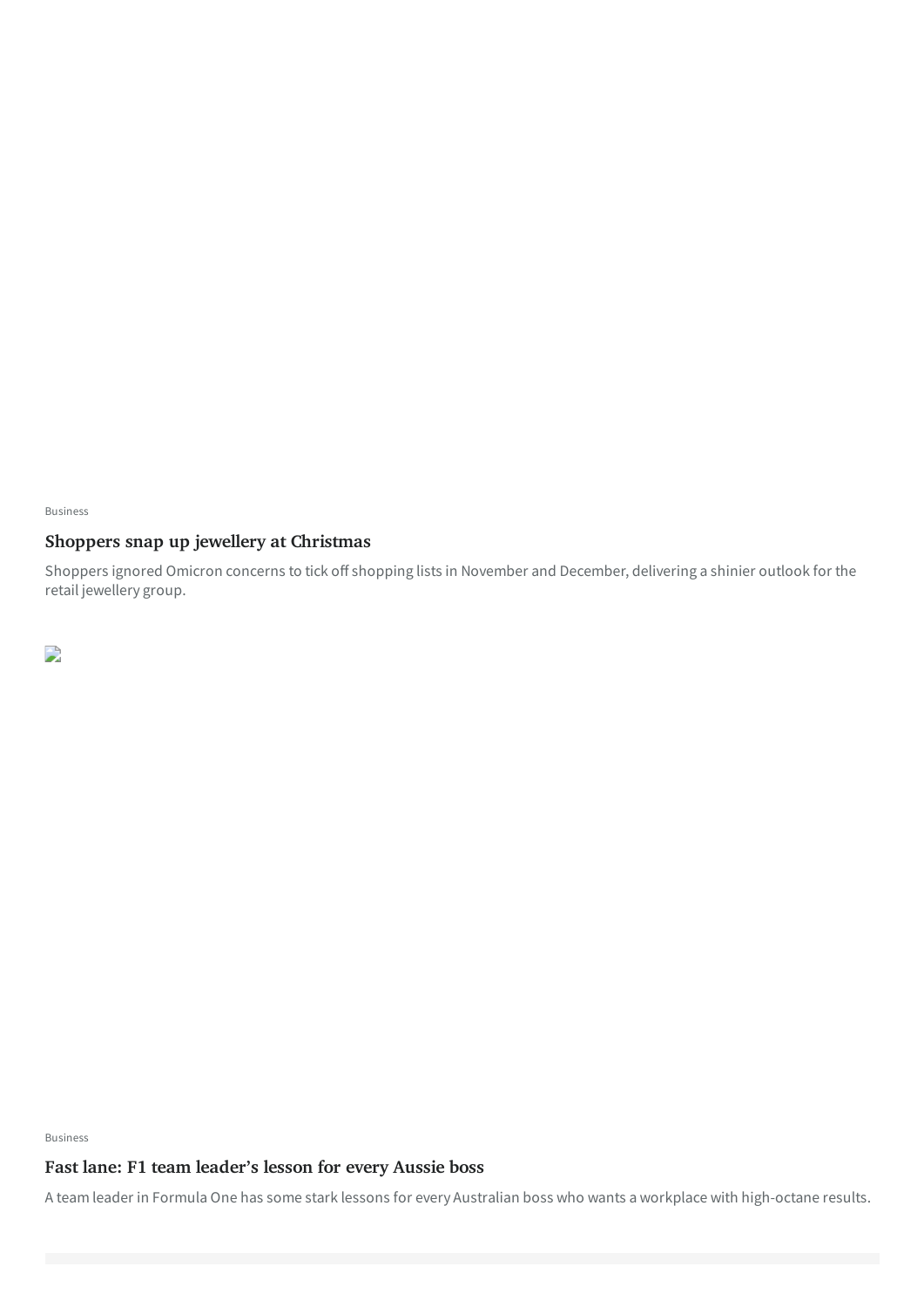[Business](https://www.dailytelegraph.com.au/business)

## **Shoppers snap up jewellery at [Christmas](https://www.dailytelegraph.com.au/business/michael-hill-flags-better-firsthalf-earnings/news-story/511ee44037f878f63ba39f34d70c7f7a)**

Shoppers ignored Omicron concerns to tick off shopping lists in November and December, delivering a shinier outlook for the retail jewellery group.

 $\overline{\phantom{a}}$ 

[Business](https://www.dailytelegraph.com.au/business)

## **Fast lane: F1 team [leader's](https://www.dailytelegraph.com.au/business/from-red-bull-to-mercedes-what-netflix-f1-racing-series-tells-us-about-managing-for-luck/news-story/af908c7132a10c3c6f0433ccb8ffedcd) lesson for every Aussie boss**

A team leader in Formula One has some stark lessons for every Australian boss who wants a workplace with high-octane results.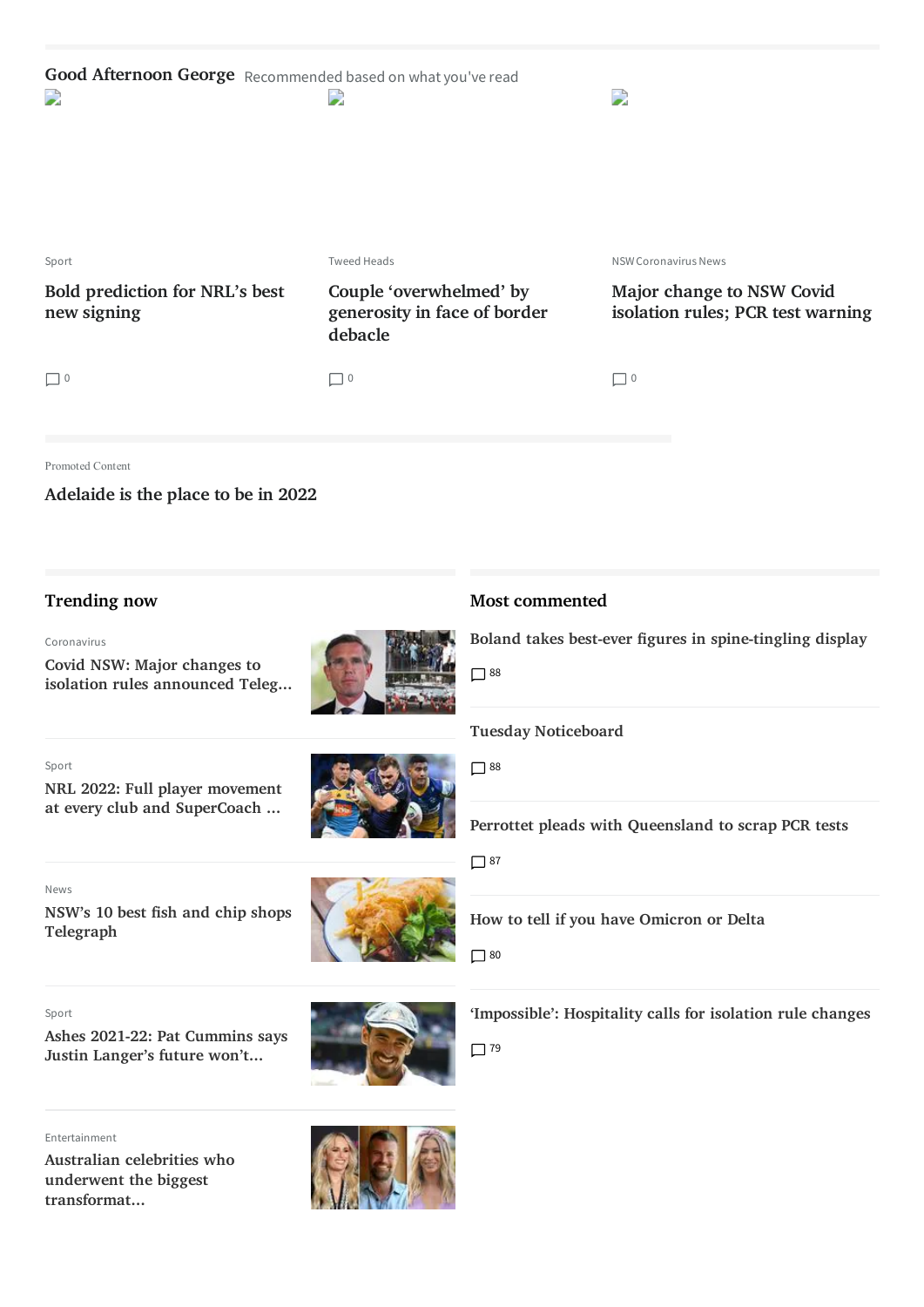| Good Afternoon George Recommended based on what you've read<br>D | $\overline{\phantom{a}}$                                           | D                                                                     |
|------------------------------------------------------------------|--------------------------------------------------------------------|-----------------------------------------------------------------------|
| Sport                                                            | <b>Tweed Heads</b>                                                 | <b>NSW Coronavirus News</b>                                           |
| Bold prediction for NRL's best<br>new signing                    | Couple 'overwhelmed' by<br>generosity in face of border<br>debacle | <b>Major change to NSW Covid</b><br>isolation rules; PCR test warning |
| $\Box$ 0                                                         | $\Box$ 0                                                           | $\Box$ 0                                                              |
| Promoted Content                                                 |                                                                    |                                                                       |

**[Adelaide](https://www.news.com.au/sponsored/1781955b7238e2535f2fbc4bce95a009/great-southern-migration-underway-as-smart-young-people-move-to-adelaide/) is the place to be in 2022**

#### **Trending now**

[Coronavirus](https://www.dailytelegraph.com.au/coronavirus)

**Covid NSW: Major changes to isolation rules [announced](https://dailytelegraph.com.au/coronavirus/covid-nsw-major-changes-to-isolation-rules-announced/news-story/3b933d55e36277fdad7f0962d246171a) Teleg...**

[Sport](https://www.dailytelegraph.com.au/sport)

**NRL 2022: Full player movement at every club and [SuperCoach](https://dailytelegraph.com.au/sport/nrl/supercoach-news/nrl-2022-full-player-movement-at-every-club-and-kfc-supercoach-nrl-implications/news-story/bdbe88e555ed17bb7211cd9813fd68cc) ...**



[Sport](https://www.dailytelegraph.com.au/sport)

**NSW's 10 best fish and chip shops [Telegraph](https://dailytelegraph.com.au/news/nsw/nsws-10-best-fish-and-chip-shops/news-story/ec5c39ab6619e9144f02e2163e65383c)**

**Ashes 2021-22: Pat [Cummins](https://dailytelegraph.com.au/sport/ashes-202122-follow-the-latest-news-from-the-australian-camp/news-story/a08ed4e8767b2d56ab45a862bf8d5004) says**



**How to tell if you have [Omicron](https://www.dailytelegraph.com.au/coronavirus/nsw-covid-how-to-tell-if-you-have-omicron-or-delta/news-story/7a9fd7d64d3c5bf5de4c99de3eebccf8) or Delta**

 $\Box$  80

**['Impossible':](https://www.dailytelegraph.com.au/coronavirus/covid19-hospitality-chiefs-want-a-relaxion-of-isolation-requirements/news-story/9c0e81ab25b27654d2b2341ab619e6c0) Hospitality calls for isolation rule changes**

 $\Box$  79



[Entertainment](https://www.dailytelegraph.com.au/entertainment) **Australian celebrities who underwent the biggest [transformat...](https://dailytelegraph.com.au/entertainment/sydney-confidential/the-celebrities-who-underwent-the-biggest-transformations-in-2021/news-story/bc794d36db540686b745b2e52df44ce0)**





## **Most commented**

**Boland takes best-ever figures in [spine-tingling](https://www.dailytelegraph.com.au/sport/cricket/ashes-2021-scott-bolands-debut-figures-highlights-wickets-australia-defeat-england/news-story/9822c2a55959198563008fe8774aa918) display**

■88

**Tuesday [Noticeboard](https://www.dailytelegraph.com.au/blogs/tim-blair/tuesday-noticeboard/news-story/a580eeb7532018764164b44dd80da615)**

**Perrottet pleads with [Queensland](https://www.dailytelegraph.com.au/coronavirus/plans-for-pcr-tests-to-be-used-for-international-and-domestic-travellers/news-story/f040dc20b45623a2028102ee3bd2fe4e) to scrap PCR tests**

 $\Box$  88

 $\Box$  87